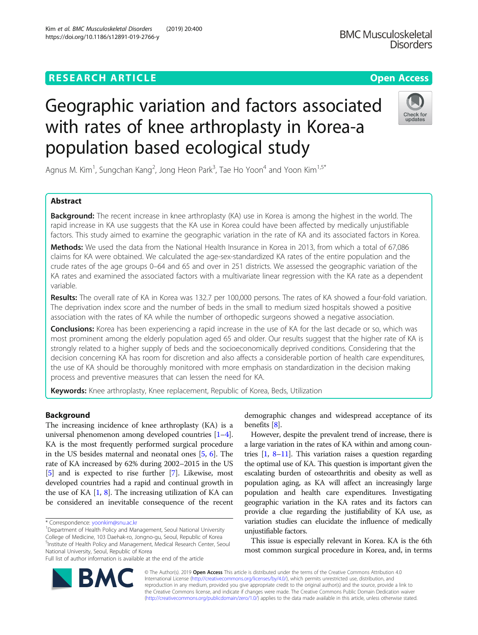## **RESEARCH ARTICLE Example 2014 12:30 The Contract of Contract ACCESS**

# Geographic variation and factors associated with rates of knee arthroplasty in Korea-a population based ecological study

Agnus M. Kim<sup>1</sup>, Sungchan Kang<sup>2</sup>, Jong Heon Park<sup>3</sup>, Tae Ho Yoon<sup>4</sup> and Yoon Kim<sup>1,5\*</sup>

## Abstract

**Background:** The recent increase in knee arthroplasty (KA) use in Korea is among the highest in the world. The rapid increase in KA use suggests that the KA use in Korea could have been affected by medically unjustifiable factors. This study aimed to examine the geographic variation in the rate of KA and its associated factors in Korea.

Methods: We used the data from the National Health Insurance in Korea in 2013, from which a total of 67,086 claims for KA were obtained. We calculated the age-sex-standardized KA rates of the entire population and the crude rates of the age groups 0–64 and 65 and over in 251 districts. We assessed the geographic variation of the KA rates and examined the associated factors with a multivariate linear regression with the KA rate as a dependent variable.

Results: The overall rate of KA in Korea was 132.7 per 100,000 persons. The rates of KA showed a four-fold variation. The deprivation index score and the number of beds in the small to medium sized hospitals showed a positive association with the rates of KA while the number of orthopedic surgeons showed a negative association.

Conclusions: Korea has been experiencing a rapid increase in the use of KA for the last decade or so, which was most prominent among the elderly population aged 65 and older. Our results suggest that the higher rate of KA is strongly related to a higher supply of beds and the socioeconomically deprived conditions. Considering that the decision concerning KA has room for discretion and also affects a considerable portion of health care expenditures, the use of KA should be thoroughly monitored with more emphasis on standardization in the decision making process and preventive measures that can lessen the need for KA.

Keywords: Knee arthroplasty, Knee replacement, Republic of Korea, Beds, Utilization

## Background

The increasing incidence of knee arthroplasty (KA) is a universal phenomenon among developed countries [[1](#page-6-0)–[4](#page-6-0)]. KA is the most frequently performed surgical procedure in the US besides maternal and neonatal ones [[5,](#page-6-0) [6\]](#page-6-0). The rate of KA increased by 62% during 2002–2015 in the US [[5\]](#page-6-0) and is expected to rise further [[7\]](#page-6-0). Likewise, most developed countries had a rapid and continual growth in the use of KA  $[1, 8]$  $[1, 8]$  $[1, 8]$  $[1, 8]$  $[1, 8]$ . The increasing utilization of KA can be considered an inevitable consequence of the recent

\* Correspondence: [yoonkim@snu.ac.kr](mailto:yoonkim@snu.ac.kr) <sup>1</sup>

<sup>1</sup>Department of Health Policy and Management, Seoul National University College of Medicine, 103 Daehak-ro, Jongno-gu, Seoul, Republic of Korea <sup>5</sup>Institute of Health Policy and Management, Medical Research Center, Seoul National University, Seoul, Republic of Korea

Full list of author information is available at the end of the article

demographic changes and widespread acceptance of its benefits [\[8](#page-6-0)].

However, despite the prevalent trend of increase, there is a large variation in the rates of KA within and among countries  $[1, 8-11]$  $[1, 8-11]$  $[1, 8-11]$  $[1, 8-11]$  $[1, 8-11]$  $[1, 8-11]$ . This variation raises a question regarding the optimal use of KA. This question is important given the escalating burden of osteoarthritis and obesity as well as population aging, as KA will affect an increasingly large population and health care expenditures. Investigating geographic variation in the KA rates and its factors can provide a clue regarding the justifiability of KA use, as variation studies can elucidate the influence of medically unjustifiable factors.

This issue is especially relevant in Korea. KA is the 6th most common surgical procedure in Korea, and, in terms

© The Author(s). 2019 **Open Access** This article is distributed under the terms of the Creative Commons Attribution 4.0 International License [\(http://creativecommons.org/licenses/by/4.0/](http://creativecommons.org/licenses/by/4.0/)), which permits unrestricted use, distribution, and reproduction in any medium, provided you give appropriate credit to the original author(s) and the source, provide a link to the Creative Commons license, and indicate if changes were made. The Creative Commons Public Domain Dedication waiver [\(http://creativecommons.org/publicdomain/zero/1.0/](http://creativecommons.org/publicdomain/zero/1.0/)) applies to the data made available in this article, unless otherwise stated.



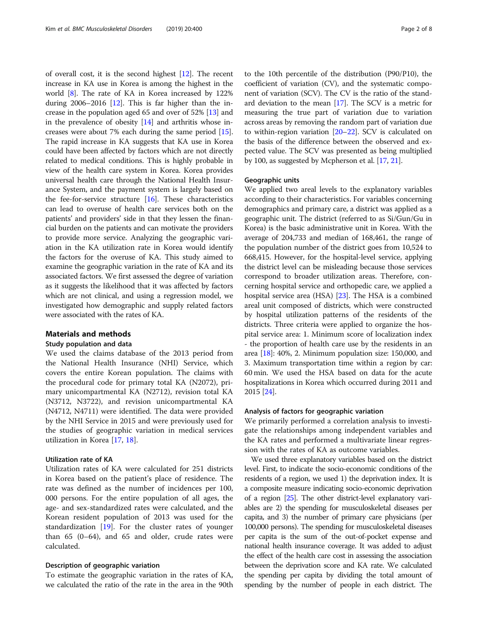of overall cost, it is the second highest [\[12](#page-6-0)]. The recent increase in KA use in Korea is among the highest in the world [\[8](#page-6-0)]. The rate of KA in Korea increased by 122% during  $2006-2016$  [\[12\]](#page-6-0). This is far higher than the increase in the population aged 65 and over of 52% [\[13\]](#page-6-0) and in the prevalence of obesity [[14](#page-6-0)] and arthritis whose increases were about 7% each during the same period [[15](#page-6-0)]. The rapid increase in KA suggests that KA use in Korea could have been affected by factors which are not directly related to medical conditions. This is highly probable in view of the health care system in Korea. Korea provides universal health care through the National Health Insurance System, and the payment system is largely based on the fee-for-service structure  $[16]$ . These characteristics can lead to overuse of health care services both on the patients' and providers' side in that they lessen the financial burden on the patients and can motivate the providers to provide more service. Analyzing the geographic variation in the KA utilization rate in Korea would identify the factors for the overuse of KA. This study aimed to examine the geographic variation in the rate of KA and its associated factors. We first assessed the degree of variation as it suggests the likelihood that it was affected by factors which are not clinical, and using a regression model, we investigated how demographic and supply related factors were associated with the rates of KA.

## Materials and methods

#### Study population and data

We used the claims database of the 2013 period from the National Health Insurance (NHI) Service, which covers the entire Korean population. The claims with the procedural code for primary total KA (N2072), primary unicompartmental KA (N2712), revision total KA (N3712, N3722), and revision unicompartmental KA (N4712, N4711) were identified. The data were provided by the NHI Service in 2015 and were previously used for the studies of geographic variation in medical services utilization in Korea [[17,](#page-6-0) [18\]](#page-6-0).

## Utilization rate of KA

Utilization rates of KA were calculated for 251 districts in Korea based on the patient's place of residence. The rate was defined as the number of incidences per 100, 000 persons. For the entire population of all ages, the age- and sex-standardized rates were calculated, and the Korean resident population of 2013 was used for the standardization [\[19\]](#page-6-0). For the cluster rates of younger than  $65$   $(0-64)$ , and  $65$  and older, crude rates were calculated.

#### Description of geographic variation

To estimate the geographic variation in the rates of KA, we calculated the ratio of the rate in the area in the 90th

to the 10th percentile of the distribution (P90/P10), the coefficient of variation (CV), and the systematic component of variation (SCV). The CV is the ratio of the standard deviation to the mean [\[17\]](#page-6-0). The SCV is a metric for measuring the true part of variation due to variation across areas by removing the random part of variation due to within-region variation [\[20](#page-6-0)–[22](#page-6-0)]. SCV is calculated on the basis of the difference between the observed and expected value. The SCV was presented as being multiplied by 100, as suggested by Mcpherson et al. [[17](#page-6-0), [21\]](#page-6-0).

### Geographic units

We applied two areal levels to the explanatory variables according to their characteristics. For variables concerning demographics and primary care, a district was applied as a geographic unit. The district (referred to as Si/Gun/Gu in Korea) is the basic administrative unit in Korea. With the average of 204,733 and median of 168,461, the range of the population number of the district goes from 10,524 to 668,415. However, for the hospital-level service, applying the district level can be misleading because those services correspond to broader utilization areas. Therefore, concerning hospital service and orthopedic care, we applied a hospital service area (HSA) [[23](#page-6-0)]. The HSA is a combined areal unit composed of districts, which were constructed by hospital utilization patterns of the residents of the districts. Three criteria were applied to organize the hospital service area: 1. Minimum score of localization index - the proportion of health care use by the residents in an area [[18](#page-6-0)]: 40%, 2. Minimum population size: 150,000, and 3. Maximum transportation time within a region by car: 60 min. We used the HSA based on data for the acute hospitalizations in Korea which occurred during 2011 and 2015 [[24](#page-6-0)].

## Analysis of factors for geographic variation

We primarily performed a correlation analysis to investigate the relationships among independent variables and the KA rates and performed a multivariate linear regression with the rates of KA as outcome variables.

We used three explanatory variables based on the district level. First, to indicate the socio-economic conditions of the residents of a region, we used 1) the deprivation index. It is a composite measure indicating socio-economic deprivation of a region [\[25](#page-6-0)]. The other district-level explanatory variables are 2) the spending for musculoskeletal diseases per capita, and 3) the number of primary care physicians (per 100,000 persons). The spending for musculoskeletal diseases per capita is the sum of the out-of-pocket expense and national health insurance coverage. It was added to adjust the effect of the health care cost in assessing the association between the deprivation score and KA rate. We calculated the spending per capita by dividing the total amount of spending by the number of people in each district. The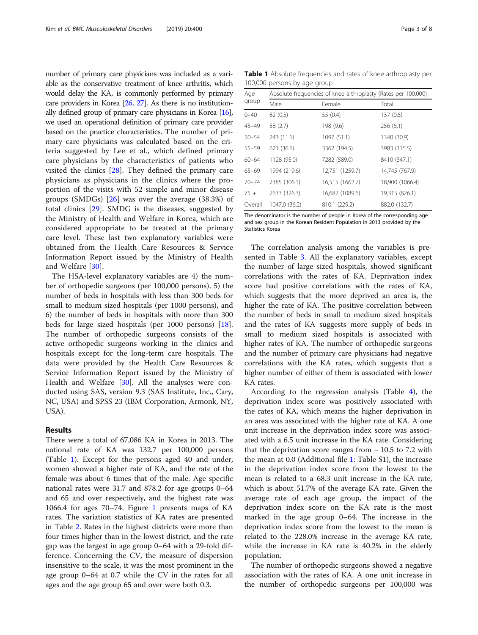number of primary care physicians was included as a variable as the conservative treatment of knee arthritis, which would delay the KA, is commonly performed by primary care providers in Korea  $[26, 27]$  $[26, 27]$  $[26, 27]$  $[26, 27]$ . As there is no institutionally defined group of primary care physicians in Korea [\[16](#page-6-0)], we used an operational definition of primary care provider based on the practice characteristics. The number of primary care physicians was calculated based on the criteria suggested by Lee et al., which defined primary care physicians by the characteristics of patients who visited the clinics [[28\]](#page-6-0). They defined the primary care physicians as physicians in the clinics where the proportion of the visits with 52 simple and minor disease groups (SMDGs) [[26\]](#page-6-0) was over the average (38.3%) of total clinics [\[29](#page-6-0)]. SMDG is the diseases, suggested by the Ministry of Health and Welfare in Korea, which are considered appropriate to be treated at the primary care level. These last two explanatory variables were obtained from the Health Care Resources & Service Information Report issued by the Ministry of Health and Welfare [[30\]](#page-6-0).

The HSA-level explanatory variables are 4) the number of orthopedic surgeons (per 100,000 persons), 5) the number of beds in hospitals with less than 300 beds for small to medium sized hospitals (per 1000 persons), and 6) the number of beds in hospitals with more than 300 beds for large sized hospitals (per 1000 persons) [\[18](#page-6-0)]. The number of orthopedic surgeons consists of the active orthopedic surgeons working in the clinics and hospitals except for the long-term care hospitals. The data were provided by the Health Care Resources & Service Information Report issued by the Ministry of Health and Welfare [\[30](#page-6-0)]. All the analyses were conducted using SAS, version 9.3 (SAS Institute, Inc., Cary, NC, USA) and SPSS 23 (IBM Corporation, Armonk, NY, USA).

## Results

There were a total of 67,086 KA in Korea in 2013. The national rate of KA was 132.7 per 100,000 persons (Table 1). Except for the persons aged 40 and under, women showed a higher rate of KA, and the rate of the female was about 6 times that of the male. Age specific national rates were 31.7 and 878.2 for age groups 0–64 and 65 and over respectively, and the highest rate was 1066.4 for ages 70–74. Figure [1](#page-3-0) presents maps of KA rates. The variation statistics of KA rates are presented in Table [2](#page-3-0). Rates in the highest districts were more than four times higher than in the lowest district, and the rate gap was the largest in age group 0–64 with a 29-fold difference. Concerning the CV, the measure of dispersion insensitive to the scale, it was the most prominent in the age group 0–64 at 0.7 while the CV in the rates for all ages and the age group 65 and over were both 0.3.

Table 1 Absolute frequencies and rates of knee arthroplasty per 100,000 persons by age group

| Age       | Absolute frequencies of knee arthroplasty (Rates per 100,000) |                 |                 |  |  |  |  |
|-----------|---------------------------------------------------------------|-----------------|-----------------|--|--|--|--|
| group     | Male                                                          | Female          | Total           |  |  |  |  |
| $0 - 40$  | 82 (0.5)                                                      | 55 (0.4)        | 137(0.5)        |  |  |  |  |
| 45-49     | 58 (2.7)                                                      | 198 (9.6)       | 256(6.1)        |  |  |  |  |
| $50 - 54$ | 243 (11.1)                                                    | 1097 (51.1)     | 1340 (30.9)     |  |  |  |  |
| 55-59     | 621 (36.1)                                                    | 3362 (194.5)    | 3983 (115.5)    |  |  |  |  |
| $60 - 64$ | 1128 (95.0)                                                   | 7282 (589.0)    | 8410 (347.1)    |  |  |  |  |
| 65-69     | 1994 (219.6)                                                  | 12,751 (1259.7) | 14,745 (767.9)  |  |  |  |  |
| $70 - 74$ | 2385 (306.1)                                                  | 16,515 (1662.7) | 18,900 (1066.4) |  |  |  |  |
| $75+$     | 2633 (326.3)                                                  | 16,682 (1089.6) | 19,315 (826.1)  |  |  |  |  |
| Overall   | 1047.0 (36.2)                                                 | 810.1 (229.2)   | 882.0 (132.7)   |  |  |  |  |
|           |                                                               |                 |                 |  |  |  |  |

The denominator is the number of people in Korea of the corresponding age and sex group in the Korean Resident Population in 2013 provided by the Statistics Korea

The correlation analysis among the variables is presented in Table [3](#page-4-0). All the explanatory variables, except the number of large sized hospitals, showed significant correlations with the rates of KA. Deprivation index score had positive correlations with the rates of KA, which suggests that the more deprived an area is, the higher the rate of KA. The positive correlation between the number of beds in small to medium sized hospitals and the rates of KA suggests more supply of beds in small to medium sized hospitals is associated with higher rates of KA. The number of orthopedic surgeons and the number of primary care physicians had negative correlations with the KA rates, which suggests that a higher number of either of them is associated with lower KA rates.

According to the regression analysis (Table  $4$ ), the deprivation index score was positively associated with the rates of KA, which means the higher deprivation in an area was associated with the higher rate of KA. A one unit increase in the deprivation index score was associated with a 6.5 unit increase in the KA rate. Considering that the deprivation score ranges from − 10.5 to 7.2 with the mean at 0.0 (Additional file [1:](#page-6-0) Table S1), the increase in the deprivation index score from the lowest to the mean is related to a 68.3 unit increase in the KA rate, which is about 51.7% of the average KA rate. Given the average rate of each age group, the impact of the deprivation index score on the KA rate is the most marked in the age group 0–64. The increase in the deprivation index score from the lowest to the mean is related to the 228.0% increase in the average KA rate, while the increase in KA rate is 40.2% in the elderly population.

The number of orthopedic surgeons showed a negative association with the rates of KA. A one unit increase in the number of orthopedic surgeons per 100,000 was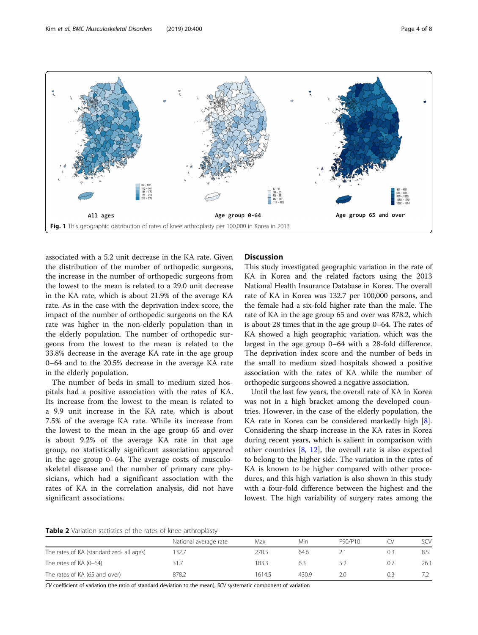<span id="page-3-0"></span>

associated with a 5.2 unit decrease in the KA rate. Given the distribution of the number of orthopedic surgeons, the increase in the number of orthopedic surgeons from the lowest to the mean is related to a 29.0 unit decrease in the KA rate, which is about 21.9% of the average KA rate. As in the case with the deprivation index score, the impact of the number of orthopedic surgeons on the KA rate was higher in the non-elderly population than in the elderly population. The number of orthopedic surgeons from the lowest to the mean is related to the 33.8% decrease in the average KA rate in the age group 0–64 and to the 20.5% decrease in the average KA rate in the elderly population.

The number of beds in small to medium sized hospitals had a positive association with the rates of KA. Its increase from the lowest to the mean is related to a 9.9 unit increase in the KA rate, which is about 7.5% of the average KA rate. While its increase from the lowest to the mean in the age group 65 and over is about 9.2% of the average KA rate in that age group, no statistically significant association appeared in the age group 0–64. The average costs of musculoskeletal disease and the number of primary care physicians, which had a significant association with the rates of KA in the correlation analysis, did not have significant associations.

## Discussion

This study investigated geographic variation in the rate of KA in Korea and the related factors using the 2013 National Health Insurance Database in Korea. The overall rate of KA in Korea was 132.7 per 100,000 persons, and the female had a six-fold higher rate than the male. The rate of KA in the age group 65 and over was 878.2, which is about 28 times that in the age group 0–64. The rates of KA showed a high geographic variation, which was the largest in the age group 0–64 with a 28-fold difference. The deprivation index score and the number of beds in the small to medium sized hospitals showed a positive association with the rates of KA while the number of orthopedic surgeons showed a negative association.

Until the last few years, the overall rate of KA in Korea was not in a high bracket among the developed countries. However, in the case of the elderly population, the KA rate in Korea can be considered markedly high [\[8](#page-6-0)]. Considering the sharp increase in the KA rates in Korea during recent years, which is salient in comparison with other countries [\[8](#page-6-0), [12\]](#page-6-0), the overall rate is also expected to belong to the higher side. The variation in the rates of KA is known to be higher compared with other procedures, and this high variation is also shown in this study with a four-fold difference between the highest and the lowest. The high variability of surgery rates among the

| Table 2 Variation statistics of the rates of knee arthroplasty |  |
|----------------------------------------------------------------|--|
|----------------------------------------------------------------|--|

|                                          | National average rate | Max    | Min   | P90/P10 |     | scv  |
|------------------------------------------|-----------------------|--------|-------|---------|-----|------|
| The rates of KA (standardized- all ages) | 132.7                 | 270.5  | 64.6  |         |     |      |
| The rates of KA (0-64)                   | 31.7                  | 83.3   | 6.3   | 5)      | 0., | 26.1 |
| The rates of KA (65 and over)            | 878.2                 | 1614.5 | 430.9 |         | 0.3 |      |

CV coefficient of variation (the ratio of standard deviation to the mean), SCV systematic component of variation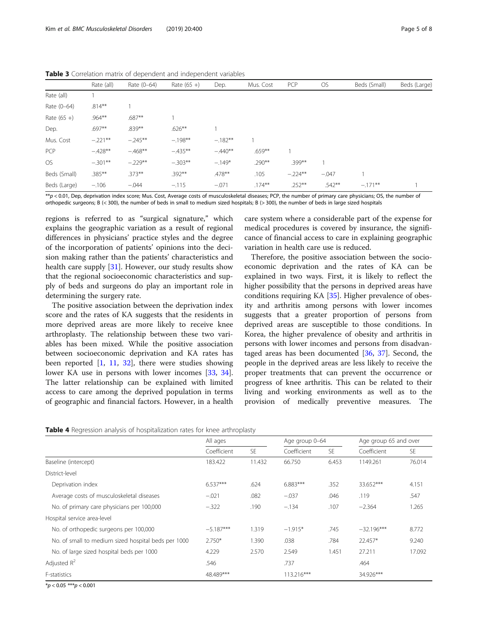|               | Rate (all) | Rate (0-64) | Rate $(65 +)$ | Dep.      | Mus. Cost | PCP       | <b>OS</b> | Beds (Small) | Beds (Large) |
|---------------|------------|-------------|---------------|-----------|-----------|-----------|-----------|--------------|--------------|
| Rate (all)    |            |             |               |           |           |           |           |              |              |
| Rate (0-64)   | $.814***$  |             |               |           |           |           |           |              |              |
| Rate $(65 +)$ | $.964***$  | .687**      |               |           |           |           |           |              |              |
| Dep.          | $.697**$   | $.839***$   | $.626***$     |           |           |           |           |              |              |
| Mus. Cost     | $-.221**$  | $-.245**$   | $-.198**$     | $-.182**$ |           |           |           |              |              |
| PCP           | $-.428**$  | $-468**$    | $-435***$     | $-.440**$ | $.659***$ |           |           |              |              |
| <b>OS</b>     | $-.301**$  | $-.229**$   | $-.303**$     | $-.149*$  | $.290**$  | .399**    |           |              |              |
| Beds (Small)  | .385**     | $.373***$   | $.392***$     | $.478***$ | .105      | $-.224**$ | $-.047$   |              |              |
| Beds (Large)  | $-.106$    | $-.044$     | $-.115$       | $-.071$   | $.174***$ | $.252***$ | $.542**$  | $-.171**$    |              |

<span id="page-4-0"></span>Table 3 Correlation matrix of dependent and independent variables

\*\*p < 0.01, Dep, deprivation index score; Mus. Cost, Average costs of musculoskeletal diseases; PCP, the number of primary care physicians; OS, the number of orthopedic surgeons; B (< 300), the number of beds in small to medium sized hospitals; B (> 300), the number of beds in large sized hospitals

regions is referred to as "surgical signature," which explains the geographic variation as a result of regional differences in physicians' practice styles and the degree of the incorporation of patients' opinions into the decision making rather than the patients' characteristics and health care supply [[31](#page-6-0)]. However, our study results show that the regional socioeconomic characteristics and supply of beds and surgeons do play an important role in determining the surgery rate.

The positive association between the deprivation index score and the rates of KA suggests that the residents in more deprived areas are more likely to receive knee arthroplasty. The relationship between these two variables has been mixed. While the positive association between socioeconomic deprivation and KA rates has been reported [\[1,](#page-6-0) [11,](#page-6-0) [32\]](#page-7-0), there were studies showing lower KA use in persons with lower incomes [[33,](#page-7-0) [34](#page-7-0)]. The latter relationship can be explained with limited access to care among the deprived population in terms of geographic and financial factors. However, in a health care system where a considerable part of the expense for medical procedures is covered by insurance, the significance of financial access to care in explaining geographic variation in health care use is reduced.

Therefore, the positive association between the socioeconomic deprivation and the rates of KA can be explained in two ways. First, it is likely to reflect the higher possibility that the persons in deprived areas have conditions requiring KA [\[35](#page-7-0)]. Higher prevalence of obesity and arthritis among persons with lower incomes suggests that a greater proportion of persons from deprived areas are susceptible to those conditions. In Korea, the higher prevalence of obesity and arthritis in persons with lower incomes and persons from disadvantaged areas has been documented [[36](#page-7-0), [37](#page-7-0)]. Second, the people in the deprived areas are less likely to receive the proper treatments that can prevent the occurrence or progress of knee arthritis. This can be related to their living and working environments as well as to the provision of medically preventive measures. The

|  |  | <b>Table 4</b> Regression analysis of hospitalization rates for knee arthroplasty |
|--|--|-----------------------------------------------------------------------------------|
|  |  |                                                                                   |

|                                                     | All ages    |           | Age group 0-64 |       | Age group 65 and over |        |
|-----------------------------------------------------|-------------|-----------|----------------|-------|-----------------------|--------|
|                                                     | Coefficient | <b>SE</b> | Coefficient    | SE.   | Coefficient           | SE.    |
| Baseline (intercept)                                | 183.422     | 11.432    | 66.750         | 6.453 | 1149.261              | 76.014 |
| District-level                                      |             |           |                |       |                       |        |
| Deprivation index                                   | $6.537***$  | .624      | $6.883***$     | .352  | 33.652***             | 4.151  |
| Average costs of musculoskeletal diseases           | $-.021$     | .082      | $-.037$        | .046  | .119                  | .547   |
| No. of primary care physicians per 100,000          | $-322$      | .190      | $-.134$        | .107  | $-2.364$              | 1.265  |
| Hospital service area-level                         |             |           |                |       |                       |        |
| No. of orthopedic surgeons per 100,000              | $-5.187***$ | 1.319     | $-1.915*$      | .745  | $-32.196***$          | 8.772  |
| No. of small to medium sized hospital beds per 1000 | $2.750*$    | 1.390     | .038           | .784  | 22.457*               | 9.240  |
| No. of large sized hospital beds per 1000           | 4.229       | 2.570     | 2.549          | 1.451 | 27.211                | 17.092 |
| Adjusted $R^2$                                      | .546        |           | .737           |       | .464                  |        |
| F-statistics                                        | 48.489***   |           | 113.216***     |       | 34.926***             |        |

 $**p* < 0.05$  \*\*\* $$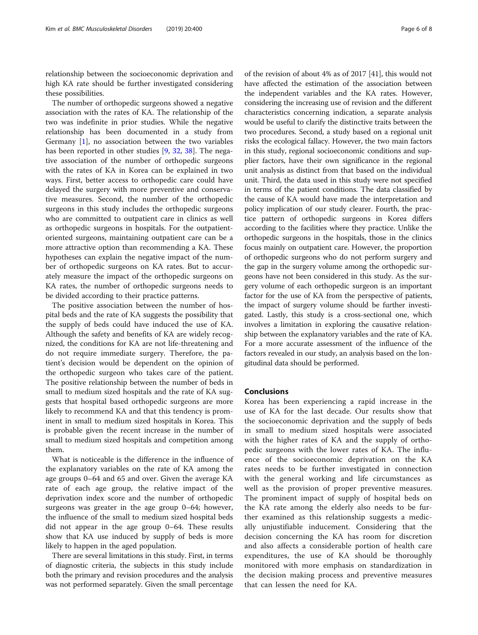relationship between the socioeconomic deprivation and high KA rate should be further investigated considering these possibilities.

The number of orthopedic surgeons showed a negative association with the rates of KA. The relationship of the two was indefinite in prior studies. While the negative relationship has been documented in a study from Germany [[1\]](#page-6-0), no association between the two variables has been reported in other studies [[9,](#page-6-0) [32,](#page-7-0) [38](#page-7-0)]. The negative association of the number of orthopedic surgeons with the rates of KA in Korea can be explained in two ways. First, better access to orthopedic care could have delayed the surgery with more preventive and conservative measures. Second, the number of the orthopedic surgeons in this study includes the orthopedic surgeons who are committed to outpatient care in clinics as well as orthopedic surgeons in hospitals. For the outpatientoriented surgeons, maintaining outpatient care can be a more attractive option than recommending a KA. These hypotheses can explain the negative impact of the number of orthopedic surgeons on KA rates. But to accurately measure the impact of the orthopedic surgeons on KA rates, the number of orthopedic surgeons needs to be divided according to their practice patterns.

The positive association between the number of hospital beds and the rate of KA suggests the possibility that the supply of beds could have induced the use of KA. Although the safety and benefits of KA are widely recognized, the conditions for KA are not life-threatening and do not require immediate surgery. Therefore, the patient's decision would be dependent on the opinion of the orthopedic surgeon who takes care of the patient. The positive relationship between the number of beds in small to medium sized hospitals and the rate of KA suggests that hospital based orthopedic surgeons are more likely to recommend KA and that this tendency is prominent in small to medium sized hospitals in Korea. This is probable given the recent increase in the number of small to medium sized hospitals and competition among them.

What is noticeable is the difference in the influence of the explanatory variables on the rate of KA among the age groups 0–64 and 65 and over. Given the average KA rate of each age group, the relative impact of the deprivation index score and the number of orthopedic surgeons was greater in the age group 0–64; however, the influence of the small to medium sized hospital beds did not appear in the age group 0–64. These results show that KA use induced by supply of beds is more likely to happen in the aged population.

There are several limitations in this study. First, in terms of diagnostic criteria, the subjects in this study include both the primary and revision procedures and the analysis was not performed separately. Given the small percentage

of the revision of about 4% as of 2017 [41], this would not have affected the estimation of the association between the independent variables and the KA rates. However, considering the increasing use of revision and the different characteristics concerning indication, a separate analysis would be useful to clarify the distinctive traits between the two procedures. Second, a study based on a regional unit risks the ecological fallacy. However, the two main factors in this study, regional socioeconomic conditions and supplier factors, have their own significance in the regional unit analysis as distinct from that based on the individual unit. Third, the data used in this study were not specified in terms of the patient conditions. The data classified by the cause of KA would have made the interpretation and policy implication of our study clearer. Fourth, the practice pattern of orthopedic surgeons in Korea differs according to the facilities where they practice. Unlike the orthopedic surgeons in the hospitals, those in the clinics focus mainly on outpatient care. However, the proportion of orthopedic surgeons who do not perform surgery and the gap in the surgery volume among the orthopedic surgeons have not been considered in this study. As the surgery volume of each orthopedic surgeon is an important factor for the use of KA from the perspective of patients, the impact of surgery volume should be further investigated. Lastly, this study is a cross-sectional one, which involves a limitation in exploring the causative relationship between the explanatory variables and the rate of KA. For a more accurate assessment of the influence of the factors revealed in our study, an analysis based on the longitudinal data should be performed.

## Conclusions

Korea has been experiencing a rapid increase in the use of KA for the last decade. Our results show that the socioeconomic deprivation and the supply of beds in small to medium sized hospitals were associated with the higher rates of KA and the supply of orthopedic surgeons with the lower rates of KA. The influence of the socioeconomic deprivation on the KA rates needs to be further investigated in connection with the general working and life circumstances as well as the provision of proper preventive measures. The prominent impact of supply of hospital beds on the KA rate among the elderly also needs to be further examined as this relationship suggests a medically unjustifiable inducement. Considering that the decision concerning the KA has room for discretion and also affects a considerable portion of health care expenditures, the use of KA should be thoroughly monitored with more emphasis on standardization in the decision making process and preventive measures that can lessen the need for KA.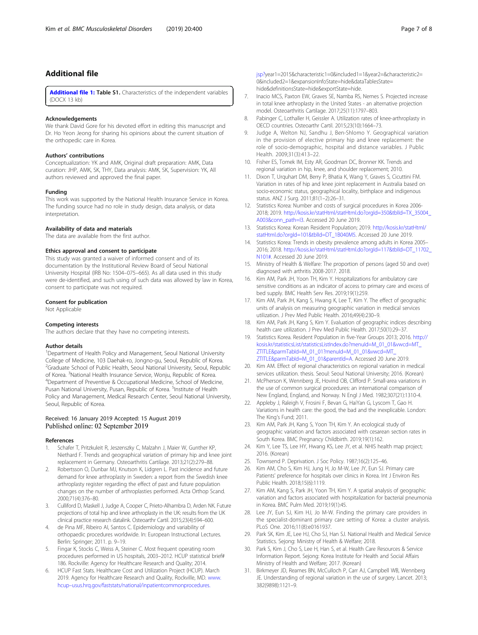## <span id="page-6-0"></span>Additional file

[Additional file 1:](https://doi.org/10.1186/s12891-019-2766-y) Table S1. Characteristics of the independent variables (DOCX 13 kb)

#### Acknowledgements

We thank David Gore for his devoted effort in editing this manuscript and Dr. Ho Yeon Jeong for sharing his opinions about the current situation of the orthopedic care in Korea.

#### Authors' contributions

Conceptualization: YK and AMK, Original draft preparation: AMK, Data curation: JHP, AMK, SK, THY, Data analysis: AMK, SK, Supervision: YK, All authors reviewed and approved the final paper.

#### Funding

This work was supported by the National Health Insurance Service in Korea. The funding source had no role in study design, data analysis, or data interpretation.

#### Availability of data and materials

The data are available from the first author.

#### Ethics approval and consent to participate

This study was granted a waiver of informed consent and of its documentation by the Institutional Review Board of Seoul National University Hospital (IRB No: 1504–075–665). As all data used in this study were de-identified, and such using of such data was allowed by law in Korea, consent to participate was not required.

#### Consent for publication

Not Applicable

#### Competing interests

The authors declare that they have no competing interests.

#### Author details

<sup>1</sup>Department of Health Policy and Management, Seoul National University College of Medicine, 103 Daehak-ro, Jongno-gu, Seoul, Republic of Korea. <sup>2</sup>Graduate School of Public Health, Seoul National University, Seoul, Republic of Korea. <sup>3</sup>National Health Insurance Service, Wonju, Republic of Korea.<br><sup>4</sup>Denartment of Preventive & Occupational Medicine, School of Medici Department of Preventive & Occupational Medicine, School of Medicine, Pusan National University, Pusan, Republic of Korea. <sup>5</sup>Institute of Health Policy and Management, Medical Research Center, Seoul National University, Seoul, Republic of Korea.

#### Received: 16 January 2019 Accepted: 15 August 2019 Published online: 02 September 2019

#### References

- Schafer T, Pritzkuleit R, Jeszenszky C, Malzahn J, Maier W, Gunther KP, Niethard F. Trends and geographical variation of primary hip and knee joint replacement in Germany. Osteoarthritis Cartilage. 2013;21(2):279–88.
- Robertsson O, Dunbar MJ, Knutson K, Lidgren L. Past incidence and future demand for knee arthroplasty in Sweden: a report from the Swedish knee arthroplasty register regarding the effect of past and future population changes on the number of arthroplasties performed. Acta Orthop Scand. 2000;71(4):376–80.
- 3. Culliford D, Maskell J, Judge A, Cooper C, Prieto-Alhambra D, Arden NK. Future projections of total hip and knee arthroplasty in the UK: results from the UK clinical practice research datalink. Osteoarthr Cartil. 2015;23(4):594–600.
- 4. de Pina MF, Ribeiro AI, Santos C. Epidemiology and variability of orthopaedic procedures worldwide. In: European Instructional Lectures. Berlin: Springer; 2011. p. 9–19.
- 5. Fingar K, Stocks C, Weiss A, Steiner C. Most frequent operating room procedures performed in US hospitals, 2003–2012. HCUP statistical brief# 186. Rockville: Agency for Healthcare Research and Quality; 2014.
- 6. HCUP Fast Stats. Healthcare Cost and Utilization Project (HCUP). March 2019. Agency for Healthcare Research and Quality, Rockville, MD. [www.](http://www.hcupusus.hrq.gov/faststats/national/inpatientcommonprocedures.jsp?) hcup–[usus.hrq.gov/faststats/national/inpatientcommonprocedures.](http://www.hcupusus.hrq.gov/faststats/national/inpatientcommonprocedures.jsp?)

[jsp?](http://www.hcupusus.hrq.gov/faststats/national/inpatientcommonprocedures.jsp?)year1=2015&characteristic1=0&included1=1&year2=&characteristic2= 0&included2=1&expansionInfoState=hide&dataTablesState= hide&definitionsState=hide&exportState=hide.

- 7. Inacio MCS, Paxton EW, Graves SE, Namba RS, Nemes S. Projected increase in total knee arthroplasty in the United States - an alternative projection model. Osteoarthritis Cartilage. 2017;25(11):1797–803.
- 8. Pabinger C, Lothaller H, Geissler A. Utilization rates of knee-arthroplasty in OECD countries. Osteoarthr Cartil. 2015;23(10):1664–73.
- 9. Judge A, Welton NJ, Sandhu J, Ben-Shlomo Y. Geographical variation in the provision of elective primary hip and knee replacement: the role of socio-demographic, hospital and distance variables. J Public Health. 2009;31(3):413–22.
- 10. Fisher ES, Tomek IM, Esty AR, Goodman DC, Bronner KK. Trends and regional variation in hip, knee, and shoulder replacement; 2010.
- 11. Dixon T, Urquhart DM, Berry P, Bhatia K, Wang Y, Graves S, Cicuttini FM. Variation in rates of hip and knee joint replacement in Australia based on socio-economic status, geographical locality, birthplace and indigenous status. ANZ J Surg. 2011;81(1–2):26–31.
- 12. Statistics Korea: Number and costs of surgical procedures in Korea 2006- 2018; 2019. [http://kosis.kr/statHtml/statHtml.do?orgId=350&tblId=TX\\_35004\\_](http://kosis.kr/statHtml/statHtml.do?orgId=350&tblId=TX_35004_A003&conn_path=I3) [A003&conn\\_path=I3](http://kosis.kr/statHtml/statHtml.do?orgId=350&tblId=TX_35004_A003&conn_path=I3). Accessed 20 June 2019.
- 13. Statistics Korea: Korean Resident Population; 2019. [http://kosis.kr/statHtml/](http://kosis.kr/statHtml/statHtml.do?orgId=101&tblId=DT_1B040M5) [statHtml.do?orgId=101&tblId=DT\\_1B040M5](http://kosis.kr/statHtml/statHtml.do?orgId=101&tblId=DT_1B040M5). Accessed 20 June 2019.
- 14. Statistics Korea: Trends in obesity prevalence among adults in Korea 2005– 2016; 2018. [http://kosis.kr/statHtml/statHtml.do?orgId=117&tblId=DT\\_11702\\_](http://kosis.kr/statHtml/statHtml.do?orgId=117&tblId=DT_11702_N101#) [N101#.](http://kosis.kr/statHtml/statHtml.do?orgId=117&tblId=DT_11702_N101#) Accessed 20 June 2019.
- 15. Ministry of Health & Welfare: The proportion of persons (aged 50 and over) diagnosed with arthritis 2008-2017. 2018.
- 16. Kim AM, Park JH, Yoon TH, Kim Y. Hospitalizations for ambulatory care sensitive conditions as an indicator of access to primary care and excess of bed supply. BMC Health Serv Res. 2019;19(1):259.
- 17. Kim AM, Park JH, Kang S, Hwang K, Lee T, Kim Y. The effect of geographic units of analysis on measuring geographic variation in medical services utilization. J Prev Med Public Health. 2016;49(4):230–9.
- 18. Kim AM, Park JH, Kang S, Kim Y. Evaluation of geographic indices describing health care utilization. J Prev Med Public Health. 2017;50(1):29–37.
- 19. Statistics Korea. Resident Population in five-Year Groups 2013; 2016. [http://](http://kosis.kr/statisticsList/statisticsListIndex.do?menuId=M_01_01&vwcd=MT_ZTITLE&parmTabId=M_01_01?menuId=M_01_01&vwcd=MT_ZTITLE&parmTabId=M_01_01&parentId=A) [kosis.kr/statisticsList/statisticsListIndex.do?menuId=M\\_01\\_01&vwcd=MT\\_](http://kosis.kr/statisticsList/statisticsListIndex.do?menuId=M_01_01&vwcd=MT_ZTITLE&parmTabId=M_01_01?menuId=M_01_01&vwcd=MT_ZTITLE&parmTabId=M_01_01&parentId=A) [ZTITLE&parmTabId=M\\_01\\_01?menuId=M\\_01\\_01&vwcd=MT\\_](http://kosis.kr/statisticsList/statisticsListIndex.do?menuId=M_01_01&vwcd=MT_ZTITLE&parmTabId=M_01_01?menuId=M_01_01&vwcd=MT_ZTITLE&parmTabId=M_01_01&parentId=A) [ZTITLE&parmTabId=M\\_01\\_01&parentId=A](http://kosis.kr/statisticsList/statisticsListIndex.do?menuId=M_01_01&vwcd=MT_ZTITLE&parmTabId=M_01_01?menuId=M_01_01&vwcd=MT_ZTITLE&parmTabId=M_01_01&parentId=A). Accessed 20 June 2019.
- 20. Kim AM. Effect of regional characteristics on regional variation in medical services utilization. thesis. Seoul: Seoul National University; 2016. (Korean)
- 21. McPherson K, Wennberg JE, Hovind OB, Clifford P. Small-area variations in the use of common surgical procedures: an international comparison of New England, England, and Norway. N Engl J Med. 1982;307(21):1310-4.
- 22. Appleby J, Raleigh V, Frosini F, Bevan G, HaiYan G, Lyscom T, Gao H. Variations in health care: the good, the bad and the inexplicable. London: The King's Fund; 2011.
- 23. Kim AM, Park JH, Kang S, Yoon TH, Kim Y. An ecological study of geographic variation and factors associated with cesarean section rates in South Korea. BMC Pregnancy Childbirth. 2019;19(1):162.
- 24. Kim Y, Lee TS, Lee HY, Hwang KS, Lee JY, et al. NHIS health map project; 2016. (Korean)
- 25. Townsend P. Deprivation. J Soc Policy. 1987;16(2):125–46.
- 26. Kim AM, Cho S, Kim HJ, Jung H, Jo M-W, Lee JY, Eun SJ. Primary care Patients' preference for hospitals over clinics in Korea. Int J Environ Res Public Health. 2018;15(6):1119.
- 27. Kim AM, Kang S, Park JH, Yoon TH, Kim Y. A spatial analysis of geographic variation and factors associated with hospitalization for bacterial pneumonia in Korea. BMC Pulm Med. 2019;19(1):45.
- 28. Lee JY, Eun SJ, Kim HJ, Jo M-W. Finding the primary care providers in the specialist-dominant primary care setting of Korea: a cluster analysis. PLoS One. 2016;11(8):e0161937.
- 29. Park SK, Kim JE, Lee HJ, Cho SJ, Han SJ. National Health and Medical Service Statistics. Sejong: Ministry of Health & Welfare; 2018.
- 30. Park S, Kim J, Cho S, Lee H, Han S, et al. Health Care Resources & Service Information Report. Sejong: Korea Institute for Health and Social Affairs Ministry of Health and Welfare; 2017. (Korean)
- 31. Birkmeyer JD, Reames BN, McCulloch P, Carr AJ, Campbell WB, Wennberg JE. Understanding of regional variation in the use of surgery. Lancet. 2013; 382(9898):1121–9.